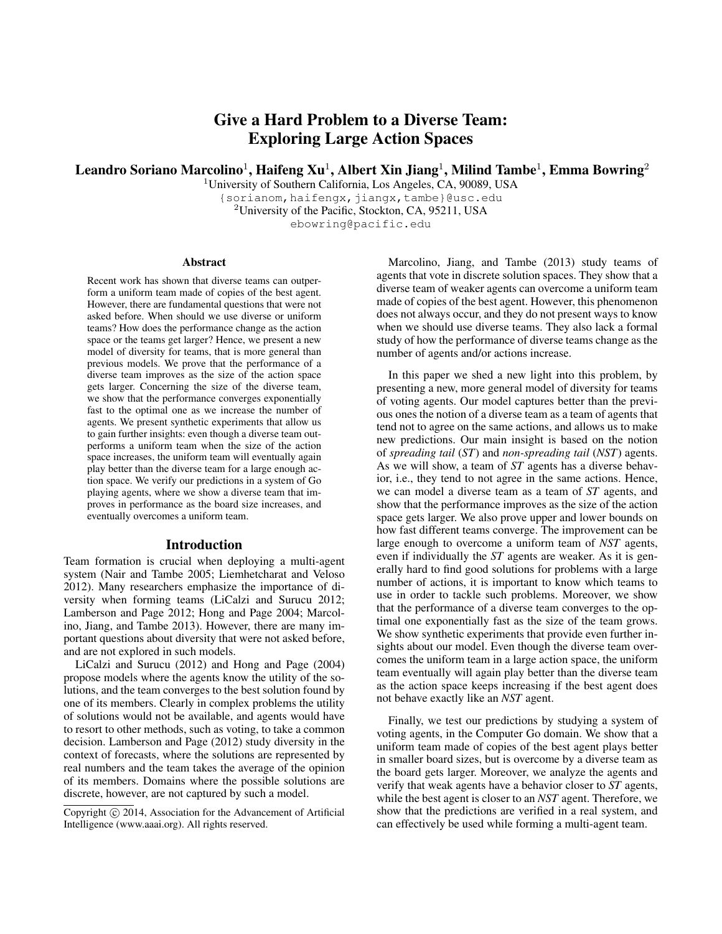# Give a Hard Problem to a Diverse Team: Exploring Large Action Spaces

Leandro Soriano Marcolino $^1$ , Haifeng Xu $^1$ , Albert Xin Jiang $^1$ , Milind Tambe $^1$ , Emma Bowring $^2$ 

<sup>1</sup>University of Southern California, Los Angeles, CA, 90089, USA {sorianom,haifengx,jiangx,tambe}@usc.edu <sup>2</sup>University of the Pacific, Stockton, CA, 95211, USA ebowring@pacific.edu

#### **Abstract**

Recent work has shown that diverse teams can outperform a uniform team made of copies of the best agent. However, there are fundamental questions that were not asked before. When should we use diverse or uniform teams? How does the performance change as the action space or the teams get larger? Hence, we present a new model of diversity for teams, that is more general than previous models. We prove that the performance of a diverse team improves as the size of the action space gets larger. Concerning the size of the diverse team, we show that the performance converges exponentially fast to the optimal one as we increase the number of agents. We present synthetic experiments that allow us to gain further insights: even though a diverse team outperforms a uniform team when the size of the action space increases, the uniform team will eventually again play better than the diverse team for a large enough action space. We verify our predictions in a system of Go playing agents, where we show a diverse team that improves in performance as the board size increases, and eventually overcomes a uniform team.

### Introduction

Team formation is crucial when deploying a multi-agent system (Nair and Tambe 2005; Liemhetcharat and Veloso 2012). Many researchers emphasize the importance of diversity when forming teams (LiCalzi and Surucu 2012; Lamberson and Page 2012; Hong and Page 2004; Marcolino, Jiang, and Tambe 2013). However, there are many important questions about diversity that were not asked before, and are not explored in such models.

LiCalzi and Surucu (2012) and Hong and Page (2004) propose models where the agents know the utility of the solutions, and the team converges to the best solution found by one of its members. Clearly in complex problems the utility of solutions would not be available, and agents would have to resort to other methods, such as voting, to take a common decision. Lamberson and Page (2012) study diversity in the context of forecasts, where the solutions are represented by real numbers and the team takes the average of the opinion of its members. Domains where the possible solutions are discrete, however, are not captured by such a model.

Marcolino, Jiang, and Tambe (2013) study teams of agents that vote in discrete solution spaces. They show that a diverse team of weaker agents can overcome a uniform team made of copies of the best agent. However, this phenomenon does not always occur, and they do not present ways to know when we should use diverse teams. They also lack a formal study of how the performance of diverse teams change as the number of agents and/or actions increase.

In this paper we shed a new light into this problem, by presenting a new, more general model of diversity for teams of voting agents. Our model captures better than the previous ones the notion of a diverse team as a team of agents that tend not to agree on the same actions, and allows us to make new predictions. Our main insight is based on the notion of *spreading tail* (*ST*) and *non-spreading tail* (*NST*) agents. As we will show, a team of *ST* agents has a diverse behavior, i.e., they tend to not agree in the same actions. Hence, we can model a diverse team as a team of *ST* agents, and show that the performance improves as the size of the action space gets larger. We also prove upper and lower bounds on how fast different teams converge. The improvement can be large enough to overcome a uniform team of *NST* agents, even if individually the *ST* agents are weaker. As it is generally hard to find good solutions for problems with a large number of actions, it is important to know which teams to use in order to tackle such problems. Moreover, we show that the performance of a diverse team converges to the optimal one exponentially fast as the size of the team grows. We show synthetic experiments that provide even further insights about our model. Even though the diverse team overcomes the uniform team in a large action space, the uniform team eventually will again play better than the diverse team as the action space keeps increasing if the best agent does not behave exactly like an *NST* agent.

Finally, we test our predictions by studying a system of voting agents, in the Computer Go domain. We show that a uniform team made of copies of the best agent plays better in smaller board sizes, but is overcome by a diverse team as the board gets larger. Moreover, we analyze the agents and verify that weak agents have a behavior closer to *ST* agents, while the best agent is closer to an *NST* agent. Therefore, we show that the predictions are verified in a real system, and can effectively be used while forming a multi-agent team.

Copyright (c) 2014, Association for the Advancement of Artificial Intelligence (www.aaai.org). All rights reserved.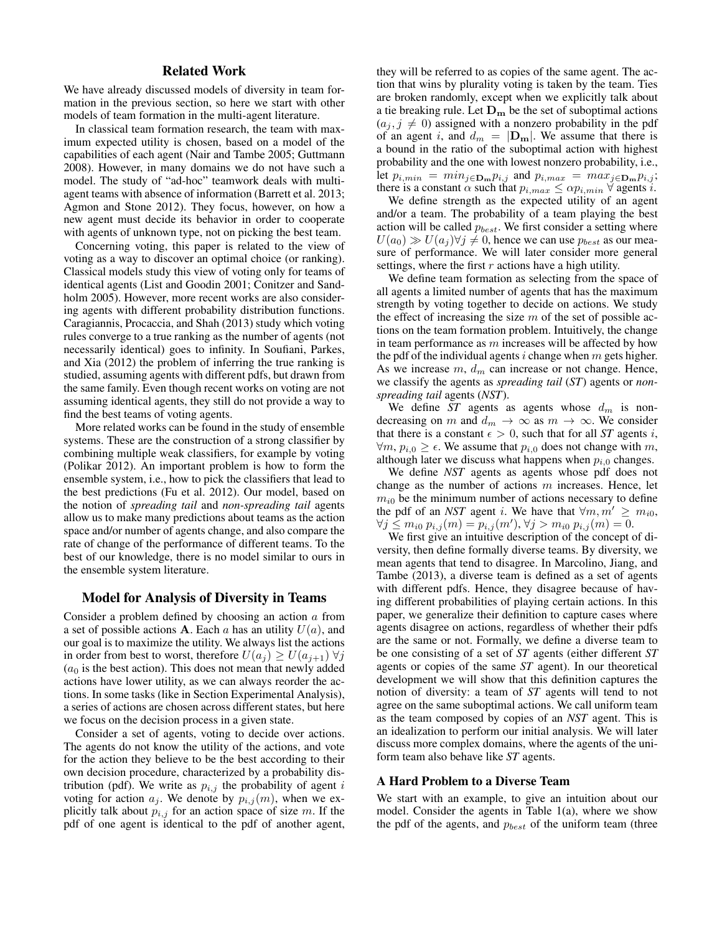# Related Work

We have already discussed models of diversity in team formation in the previous section, so here we start with other models of team formation in the multi-agent literature.

In classical team formation research, the team with maximum expected utility is chosen, based on a model of the capabilities of each agent (Nair and Tambe 2005; Guttmann 2008). However, in many domains we do not have such a model. The study of "ad-hoc" teamwork deals with multiagent teams with absence of information (Barrett et al. 2013; Agmon and Stone 2012). They focus, however, on how a new agent must decide its behavior in order to cooperate with agents of unknown type, not on picking the best team.

Concerning voting, this paper is related to the view of voting as a way to discover an optimal choice (or ranking). Classical models study this view of voting only for teams of identical agents (List and Goodin 2001; Conitzer and Sandholm 2005). However, more recent works are also considering agents with different probability distribution functions. Caragiannis, Procaccia, and Shah (2013) study which voting rules converge to a true ranking as the number of agents (not necessarily identical) goes to infinity. In Soufiani, Parkes, and Xia (2012) the problem of inferring the true ranking is studied, assuming agents with different pdfs, but drawn from the same family. Even though recent works on voting are not assuming identical agents, they still do not provide a way to find the best teams of voting agents.

More related works can be found in the study of ensemble systems. These are the construction of a strong classifier by combining multiple weak classifiers, for example by voting (Polikar 2012). An important problem is how to form the ensemble system, i.e., how to pick the classifiers that lead to the best predictions (Fu et al. 2012). Our model, based on the notion of *spreading tail* and *non-spreading tail* agents allow us to make many predictions about teams as the action space and/or number of agents change, and also compare the rate of change of the performance of different teams. To the best of our knowledge, there is no model similar to ours in the ensemble system literature.

## Model for Analysis of Diversity in Teams

Consider a problem defined by choosing an action a from a set of possible actions **A**. Each a has an utility  $U(a)$ , and our goal is to maximize the utility. We always list the actions in order from best to worst, therefore  $U(a_i) \geq U(a_{i+1}) \forall j$  $(a<sub>0</sub>$  is the best action). This does not mean that newly added actions have lower utility, as we can always reorder the actions. In some tasks (like in Section Experimental Analysis), a series of actions are chosen across different states, but here we focus on the decision process in a given state.

Consider a set of agents, voting to decide over actions. The agents do not know the utility of the actions, and vote for the action they believe to be the best according to their own decision procedure, characterized by a probability distribution (pdf). We write as  $p_{i,j}$  the probability of agent i voting for action  $a_i$ . We denote by  $p_{i,j}(m)$ , when we explicitly talk about  $p_{i,j}$  for an action space of size m. If the pdf of one agent is identical to the pdf of another agent,

they will be referred to as copies of the same agent. The action that wins by plurality voting is taken by the team. Ties are broken randomly, except when we explicitly talk about a tie breaking rule. Let  $D_m$  be the set of suboptimal actions  $(a_i, j \neq 0)$  assigned with a nonzero probability in the pdf of an agent i, and  $d_m = |\mathbf{D}_m|$ . We assume that there is a bound in the ratio of the suboptimal action with highest probability and the one with lowest nonzero probability, i.e., let  $p_{i,min} = min_{j \in \mathbf{D}_{\mathbf{m}}} p_{i,j}$  and  $p_{i,max} = max_{j \in \mathbf{D}_{\mathbf{m}}} p_{i,j}$ ; there is a constant  $\alpha$  such that  $p_{i,max} \leq \alpha p_{i,min} \ \forall$  agents *i*.

We define strength as the expected utility of an agent and/or a team. The probability of a team playing the best action will be called  $p_{best}$ . We first consider a setting where  $U(a_0) \gg U(a_i) \forall j \neq 0$ , hence we can use  $p_{best}$  as our measure of performance. We will later consider more general settings, where the first  $r$  actions have a high utility.

We define team formation as selecting from the space of all agents a limited number of agents that has the maximum strength by voting together to decide on actions. We study the effect of increasing the size  $m$  of the set of possible actions on the team formation problem. Intuitively, the change in team performance as  $m$  increases will be affected by how the pdf of the individual agents  $i$  change when  $m$  gets higher. As we increase  $m$ ,  $d_m$  can increase or not change. Hence, we classify the agents as *spreading tail* (*ST*) agents or *nonspreading tail* agents (*NST*).

We define  $ST$  agents as agents whose  $d_m$  is nondecreasing on m and  $d_m \to \infty$  as  $m \to \infty$ . We consider that there is a constant  $\epsilon > 0$ , such that for all *ST* agents i,  $\forall m, p_{i,0} \ge \epsilon$ . We assume that  $p_{i,0}$  does not change with m, although later we discuss what happens when  $p_{i,0}$  changes.

We define *NST* agents as agents whose pdf does not change as the number of actions  $m$  increases. Hence, let  $m_{i0}$  be the minimum number of actions necessary to define the pdf of an *NST* agent i. We have that  $\forall m, m' \geq m_{i0}$ ,  $\forall j \leq m_{i0} p_{i,j}(m) = p_{i,j}(m'), \forall j > m_{i0} p_{i,j}(m) = 0.$ 

We first give an intuitive description of the concept of diversity, then define formally diverse teams. By diversity, we mean agents that tend to disagree. In Marcolino, Jiang, and Tambe (2013), a diverse team is defined as a set of agents with different pdfs. Hence, they disagree because of having different probabilities of playing certain actions. In this paper, we generalize their definition to capture cases where agents disagree on actions, regardless of whether their pdfs are the same or not. Formally, we define a diverse team to be one consisting of a set of *ST* agents (either different *ST* agents or copies of the same *ST* agent). In our theoretical development we will show that this definition captures the notion of diversity: a team of *ST* agents will tend to not agree on the same suboptimal actions. We call uniform team as the team composed by copies of an *NST* agent. This is an idealization to perform our initial analysis. We will later discuss more complex domains, where the agents of the uniform team also behave like *ST* agents.

### A Hard Problem to a Diverse Team

We start with an example, to give an intuition about our model. Consider the agents in Table 1(a), where we show the pdf of the agents, and  $p_{best}$  of the uniform team (three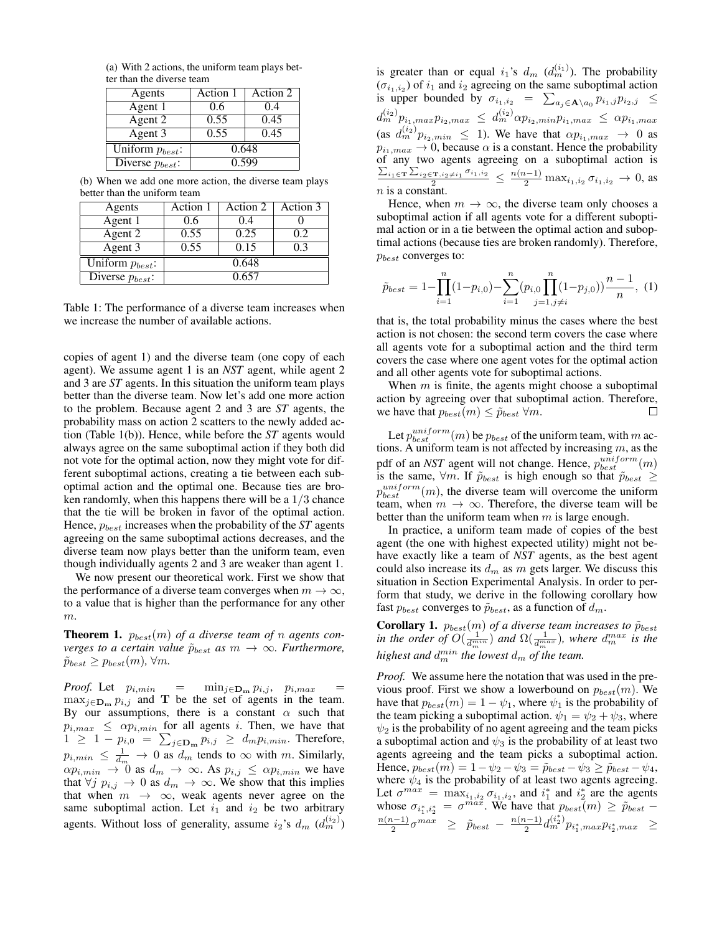(a) With 2 actions, the uniform team plays better than the diverse team

| Agents               | Action 1 | Action 2 |  |
|----------------------|----------|----------|--|
| Agent 1              | 0.6      | 0.4      |  |
| Agent 2              | 0.55     | 0.45     |  |
| Agent 3              | 0.55     | 0.45     |  |
| Uniform $p_{best}$ : | 0.648    |          |  |
| Diverse $p_{best}$ : | 0.599    |          |  |

(b) When we add one more action, the diverse team plays better than the uniform team

| Agents               | Action 1 | Action 2 | Action 3 |
|----------------------|----------|----------|----------|
| Agent 1              | 0.6      | 0.4      |          |
| Agent 2              | 0.55     | 0.25     | 0.2      |
| Agent 3              | 0.55     | 0.15     | 0.3      |
| Uniform $p_{best}$ : | 0.648    |          |          |
| Diverse $p_{best}$ : | 0.657    |          |          |

Table 1: The performance of a diverse team increases when we increase the number of available actions.

copies of agent 1) and the diverse team (one copy of each agent). We assume agent 1 is an *NST* agent, while agent 2 and 3 are *ST* agents. In this situation the uniform team plays better than the diverse team. Now let's add one more action to the problem. Because agent 2 and 3 are *ST* agents, the probability mass on action 2 scatters to the newly added action (Table 1(b)). Hence, while before the *ST* agents would always agree on the same suboptimal action if they both did not vote for the optimal action, now they might vote for different suboptimal actions, creating a tie between each suboptimal action and the optimal one. Because ties are broken randomly, when this happens there will be a 1/3 chance that the tie will be broken in favor of the optimal action. Hence,  $p_{best}$  increases when the probability of the *ST* agents agreeing on the same suboptimal actions decreases, and the diverse team now plays better than the uniform team, even though individually agents 2 and 3 are weaker than agent 1.

We now present our theoretical work. First we show that the performance of a diverse team converges when  $m \to \infty$ , to a value that is higher than the performance for any other  $\boldsymbol{m}.$ 

**Theorem 1.**  $p_{best}(m)$  of a diverse team of n agents con*verges to a certain value*  $\tilde{p}_{best}$  *as*  $m \rightarrow \infty$ *. Furthermore,*  $\tilde{p}_{best} \geq p_{best}(m)$ ,  $\forall m$ .

*Proof.* Let  $p_{i,min}$  =  $\min_{j \in \mathbf{D_m}} p_{i,j}, p_{i,max}$  $\max_{j \in \mathbf{D_m}} p_{i,j}$  and T be the set of agents in the team. By our assumptions, there is a constant  $\alpha$  such that  $p_{i,max} \leq \alpha p_{i,min}$  for all agents i. Then, we have that  $1 \geq 1 - p_{i,0} = \sum_{j \in \mathbf{D_m}} p_{i,j} \geq d_m p_{i,min}$ . Therefore,  $p_{i,min} \leq \frac{1}{d_m} \to 0$  as  $d_m$  tends to  $\infty$  with m. Similarly,  $\alpha p_{i,min} \to 0$  as  $d_m \to \infty$ . As  $p_{i,j} \leq \alpha p_{i,min}$  we have that  $\forall j \; p_{i,j} \to 0$  as  $d_m \to \infty$ . We show that this implies that when  $m \rightarrow \infty$ , weak agents never agree on the same suboptimal action. Let  $i_1$  and  $i_2$  be two arbitrary agents. Without loss of generality, assume  $i_2$ 's  $d_m$   $(d_m^{(i_2)})$ 

is greater than or equal  $i_1$ 's  $d_m$   $(d_m^{(i_1)})$ . The probability  $(\sigma_{i_1,i_2})$  of  $i_1$  and  $i_2$  agreeing on the same suboptimal action is upper bounded by  $\sigma_{i_1,i_2} = \sum_{a_j \in \mathbf{A} \setminus a_0} p_{i_1,j} p_{i_2,j}$  $d_{m}^{(i_{2})}p_{i_{1},max}p_{i_{2},max} \ \leq \ d_{m}^{(i_{2})}\alpha p_{i_{2},min}p_{i_{1},max} \ \leq \ \alpha p_{i_{1},max}$ (as  $d_m^{(i_2)} p_{i_2,min} \leq 1$ ). We have that  $\alpha p_{i_1,max} \to 0$  as  $p_{i_1,max} \rightarrow 0$ , because  $\alpha$  is a constant. Hence the probability of any two agents agreeing on a suboptimal action is  $\frac{\sum_{i_1 \in \mathbf{T}} \sum_{i_2 \in \mathbf{T}, i_2 \neq i_1} \sigma_{i_1, i_2}}{2}$  ≤  $\frac{n(n-1)}{2}$  max<sub>i<sub>1</sub>,i<sub>2</sub>  $\sigma_{i_1, i_2} \to 0$ , as</sub>  $n$  is a constant.

Hence, when  $m \to \infty$ , the diverse team only chooses a suboptimal action if all agents vote for a different suboptimal action or in a tie between the optimal action and suboptimal actions (because ties are broken randomly). Therefore,  $p_{best}$  converges to:

$$
\tilde{p}_{best} = 1 - \prod_{i=1}^{n} (1 - p_{i,0}) - \sum_{i=1}^{n} (p_{i,0} \prod_{j=1, j \neq i}^{n} (1 - p_{j,0})) \frac{n-1}{n}, (1)
$$

that is, the total probability minus the cases where the best action is not chosen: the second term covers the case where all agents vote for a suboptimal action and the third term covers the case where one agent votes for the optimal action and all other agents vote for suboptimal actions.

When  $m$  is finite, the agents might choose a suboptimal action by agreeing over that suboptimal action. Therefore, we have that  $p_{best}(m) \leq \tilde{p}_{best} \,\forall m$ . П

Let  $p_{best}^{uniform}(m)$  be  $p_{best}$  of the uniform team, with m actions. A uniform team is not affected by increasing  $m$ , as the pdf of an *NST* agent will not change. Hence,  $p_{best}^{uniform}(m)$ is the same,  $\forall m$ . If  $\tilde{p}_{best}$  is high enough so that  $\tilde{p}_{best} \ge$  $p_{best}^{uniform}(m)$ , the diverse team will overcome the uniform team, when  $m \to \infty$ . Therefore, the diverse team will be better than the uniform team when  $m$  is large enough.

In practice, a uniform team made of copies of the best agent (the one with highest expected utility) might not behave exactly like a team of *NST* agents, as the best agent could also increase its  $d_m$  as  $m$  gets larger. We discuss this situation in Section Experimental Analysis. In order to perform that study, we derive in the following corollary how fast  $p_{best}$  converges to  $\tilde{p}_{best}$ , as a function of  $d_m$ .

**Corollary 1.**  $p_{best}(m)$  of a diverse team increases to  $\tilde{p}_{best}$ *in the order of*  $O(\frac{1}{d_m^{min}})$  *and*  $\Omega(\frac{1}{d_m^{max}})$ *, where*  $d_m^{max}$  *is the* highest and  $d_m^{min}$  the lowest  $d_m$  of the team.

*Proof.* We assume here the notation that was used in the previous proof. First we show a lowerbound on  $p_{best}(m)$ . We have that  $p_{best}(m) = 1 - \psi_1$ , where  $\psi_1$  is the probability of the team picking a suboptimal action.  $\psi_1 = \psi_2 + \psi_3$ , where  $\psi_2$  is the probability of no agent agreeing and the team picks a suboptimal action and  $\psi_3$  is the probability of at least two agents agreeing and the team picks a suboptimal action. Hence,  $p_{best}(m) = 1 - \psi_2 - \psi_3 = \tilde{p}_{best} - \psi_3 \ge \tilde{p}_{best} - \psi_4$ , where  $\psi_4$  is the probability of at least two agents agreeing. Let  $\sigma^{max} = \max_{i_1, i_2} \sigma_{i_1, i_2}$ , and  $i_1^*$  and  $i_2^*$  are the agents whose  $\sigma_{i_1^*, i_2^*} = \sigma^{\hat{m} a \bar{x}}$ . We have that  $p_{best}(m) \ge \tilde{p}_{best}$  –  $n(n-1)$  $\frac{n-1}{2}\sigma^{max} \geq \tilde{p}_{best} - \frac{n(n-1)}{2}$  $\frac{(n-1)}{2} d_m^{(i_2^*)} p_{i_1^*,max} p_{i_2^*,max}$  >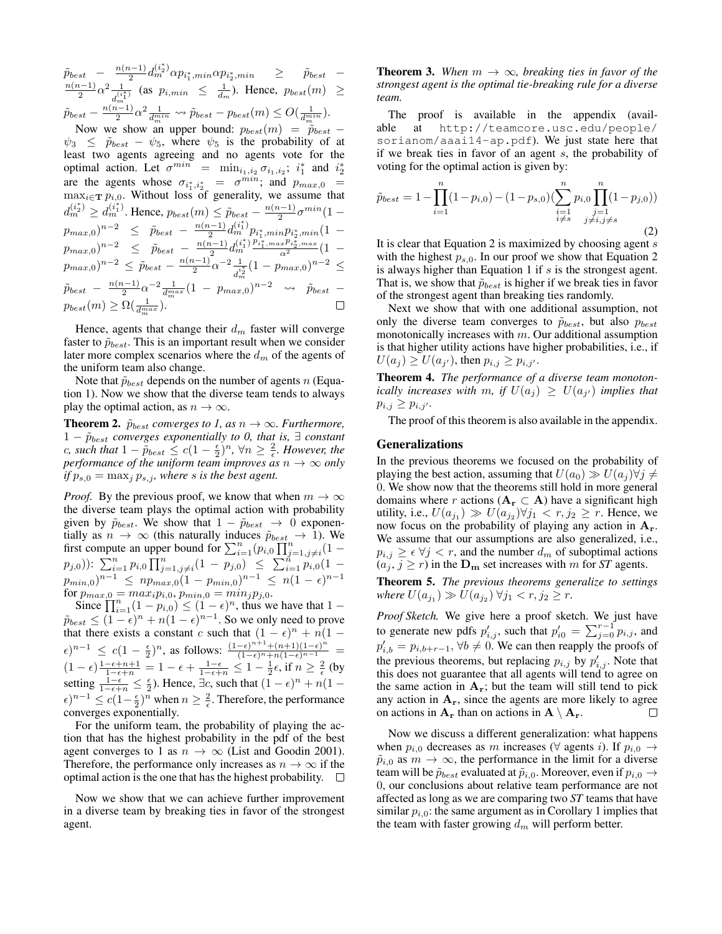$\tilde{p}_{best}$  –  $\frac{n(n-1)}{2}$  $\frac{(n-1)}{2} d_m^{(i_2^*)} \alpha p_{i_1^*,min} \alpha p_{i_2^*,min} \quad \geq \quad \tilde{p}_{best}$  –  $n(n-1)$  $\frac{(i-1)}{2}\alpha^2 \frac{1}{a^{(i)}}$  $\frac{1}{d_{m}^{(\frac{*}{4})}}$  (as  $p_{i,min} \leq \frac{1}{d_{m}}$ ). Hence,  $p_{best}(m) \geq$  $\tilde{p}_{best} - \frac{n(n-1)}{2}$  $\frac{a^{(n-1)}}{2} \alpha^2 \frac{1}{d_m^{min}} \leadsto \tilde{p}_{best} - p_{best}(m) \leq O(\frac{1}{d_m^{min}}).$ 

Now we show an upper bound:  $p_{best}(m) = \tilde{p}_{best}$  –  $\psi_3 \leq \tilde{p}_{best} - \psi_5$ , where  $\psi_5$  is the probability of at least two agents agreeing and no agents vote for the optimal action. Let  $\sigma^{min}$  =  $\min_{i_1, i_2} \sigma_{i_1, i_2}$ ;  $i_1^*$  and  $i_2^*$ are the agents whose  $\sigma_{i_1^*, i_2^*} = \sigma^{min}$ ; and  $p_{max,0}$  $\max_{i \in \mathbf{T}} p_{i,0}$ . Without loss of generality, we assume that  $d_m^{(i_2^*)} \geq d_m^{(i_1^*)}$ . Hence,  $p_{best}(m) \leq \tilde{p}_{best} - \frac{n(n-1)}{2}$  $\frac{1}{2}e^{m i n}(1 \frac{(i-1)}{2}d_{m}^{(i_{1}^{\ast})}p_{i_{1}^{\ast},min}p_{i_{2}^{\ast},min}(1-\epsilon)$  $p_{max,0})^{n-2} \leq \tilde{p}_{best} - \frac{n(n-1)}{2}$  $\frac{a_{i-1}}{2}d_{m}^{(i_{1}^{*})}\frac{p_{i_{1}^{*},max}p_{i_{2}^{*},max}}{\alpha^{2}}(1-\alpha)$  $p_{max,0})^{n-2} \leq \tilde{p}_{best} - \frac{n(n-1)}{2}$  $p_{max,0})^{n-2} \leq \tilde{p}_{best} - \frac{n(n-1)}{2}$  $\frac{(i-1)}{2} \alpha^{-2} \frac{1}{d^i}$  $\frac{1}{d_m^{i_2^*}}(1-p_{max,0})^{n-2} \leq$  $\tilde{p}_{best} - \frac{n(n-1)}{2}$  $\frac{a^{n-1}}{2} \alpha^{-2} \frac{1}{d_m^{max}} (1 - p_{max,0})^{n-2} \rightarrow \tilde{p}_{best}$  $p_{best}(m) \geq \Omega(\frac{1}{d_m^{max}}).$  $\Box$ 

Hence, agents that change their  $d_m$  faster will converge faster to  $\tilde{p}_{best}$ . This is an important result when we consider later more complex scenarios where the  $d_m$  of the agents of the uniform team also change.

Note that  $\tilde{p}_{best}$  depends on the number of agents n (Equation 1). Now we show that the diverse team tends to always play the optimal action, as  $n \to \infty$ .

**Theorem 2.**  $\tilde{p}_{best}$  *converges to 1, as*  $n \rightarrow \infty$ *. Furthermore,*  $1 - \tilde{p}_{best}$  *converges exponentially to 0, that is,*  $\exists$  *constant c*, such that  $1 - \tilde{p}_{best} \leq c(1 - \frac{\epsilon}{2})^n$ ,  $\forall n \geq \frac{2}{\epsilon}$ . However, the *performance of the uniform team improves as*  $n \to \infty$  *only if*  $p_{s,0} = \max_j p_{s,j}$ *, where s is the best agent.* 

*Proof.* By the previous proof, we know that when  $m \to \infty$ the diverse team plays the optimal action with probability given by  $\tilde{p}_{best}$ . We show that  $1 - \tilde{p}_{best} \rightarrow 0$  exponentially as  $n \to \infty$  (this naturally induces  $\tilde{p}_{best} \to 1$ ). We first compute an upper bound for  $\sum_{i=1}^{n} (p_{i,0} \prod_{j=1,j\neq i}^{n} (1 (p_{j,0})$ ):  $\sum_{i=1}^{n} p_{i,0} \prod_{j=1,j\neq i}^{n} (1-p_{j,0}) \leq \sum_{i=1}^{n} p_{i,0} (1-p_{i,0})$  $p_{min,0})^{n-1} \leq np_{max,0}(1-p_{min,0})^{n-1} \leq n(1-\epsilon)^{n-1}$ for  $p_{max,0} = max_i p_{i,0}, p_{min,0} = min_j p_{j,0}.$ 

Since  $\prod_{i=1}^{n} (1 - p_{i,0}) \le (1 - \epsilon)^n$ , thus we have that  $1 \tilde{p}_{best} \leq (1 - \epsilon)^n + n(1 - \epsilon)^{n-1}$ . So we only need to prove that there exists a constant c such that  $(1 - \epsilon)^n + n(1 - \epsilon)$  $\epsilon)^{n-1}$  ≤  $c(1-\frac{\epsilon}{2})^n$ , as follows:  $\frac{(1-\epsilon)^{n+1}+(n+1)(1-\epsilon)^n}{(1-\epsilon)^n+n(1-\epsilon)^{n-1}}$  =  $(1-\epsilon)\frac{1-\epsilon+n+1}{1-\epsilon+n} = 1-\epsilon+\frac{1-\epsilon}{1-\epsilon+n} \leq 1-\frac{1}{2}\epsilon$ , if  $n \geq \frac{2}{\epsilon}$  (by setting  $\frac{1-\epsilon}{1-\epsilon+n} \leq \frac{\epsilon}{2}$ ). Hence,  $\exists c$ , such that  $(1-\epsilon)^n + n(1-\epsilon)$  $\epsilon$ )<sup>n-1</sup>  $\leq c(1-\frac{\epsilon}{2})^n$  when  $n \geq \frac{2}{\epsilon}$ . Therefore, the performance converges exponentially.

For the uniform team, the probability of playing the action that has the highest probability in the pdf of the best agent converges to 1 as  $n \to \infty$  (List and Goodin 2001). Therefore, the performance only increases as  $n \to \infty$  if the optimal action is the one that has the highest probability.  $\square$ 

Now we show that we can achieve further improvement in a diverse team by breaking ties in favor of the strongest agent.

**Theorem 3.** When  $m \to \infty$ , breaking ties in favor of the *strongest agent is the optimal tie-breaking rule for a diverse team.*

The proof is available in the appendix (available at http://teamcore.usc.edu/people/ sorianom/aaai14-ap.pdf). We just state here that if we break ties in favor of an agent s, the probability of voting for the optimal action is given by:

$$
\tilde{p}_{best} = 1 - \prod_{i=1}^{n} (1 - p_{i,0}) - (1 - p_{s,0}) \left( \sum_{\substack{i=1 \ i \neq s}}^{n} p_{i,0} \prod_{\substack{j=1 \ j \neq i,j \neq s}}^{n} (1 - p_{j,0}) \right)
$$
\n(2)

It is clear that Equation 2 is maximized by choosing agent  $s$ with the highest  $p_{s,0}$ . In our proof we show that Equation 2 is always higher than Equation 1 if  $s$  is the strongest agent. That is, we show that  $\tilde{p}_{best}$  is higher if we break ties in favor of the strongest agent than breaking ties randomly.

Next we show that with one additional assumption, not only the diverse team converges to  $\tilde{p}_{best}$ , but also  $p_{best}$ monotonically increases with  $m$ . Our additional assumption is that higher utility actions have higher probabilities, i.e., if  $U(a_j) \ge U(a_{j'})$ , then  $p_{i,j} \ge p_{i,j'}.$ 

Theorem 4. *The performance of a diverse team monotonically increases with m, if*  $U(a_j) \ge U(a_{j'})$  *implies that*  $p_{i,j} \geq p_{i,j'}$ .

The proof of this theorem is also available in the appendix.

#### Generalizations

In the previous theorems we focused on the probability of playing the best action, assuming that  $U(a_0) \gg U(a_i) \forall j \neq j$ 0. We show now that the theorems still hold in more general domains where r actions ( $A_r \subset A$ ) have a significant high utility, i.e.,  $U(a_{j_1}) \gg U(a_{j_2}) \forall j_1 < r, j_2 \geq r$ . Hence, we now focus on the probability of playing any action in  $A_r$ . We assume that our assumptions are also generalized, i.e.,  $p_{i,j} \geq \epsilon \ \forall j \leq r$ , and the number  $d_m$  of suboptimal actions  $(a_i, j \ge r)$  in the  $D_m$  set increases with m for *ST* agents.

Theorem 5. *The previous theorems generalize to settings*  $where U(a_{j_1}) \gg U(a_{j_2}) \ \forall j_1 < r, j_2 \geq r.$ 

*Proof Sketch.* We give here a proof sketch. We just have to generate new pdfs  $p'_{i,j}$ , such that  $p'_{i0} = \sum_{j=0}^{r-1} p_{i,j}$ , and  $p'_{i,b} = p_{i,b+r-1}, \forall b \neq 0$ . We can then reapply the proofs of the previous theorems, but replacing  $p_{i,j}$  by  $p'_{i,j}$ . Note that this does not guarantee that all agents will tend to agree on the same action in  $A_r$ ; but the team will still tend to pick any action in  $A_r$ , since the agents are more likely to agree on actions in  $A_r$  than on actions in  $A \setminus A_r$ .  $\Box$ 

Now we discuss a different generalization: what happens when  $p_{i,0}$  decreases as m increases ( $\forall$  agents i). If  $p_{i,0} \rightarrow$  $\tilde{p}_{i,0}$  as  $m \to \infty$ , the performance in the limit for a diverse team will be  $\tilde{p}_{best}$  evaluated at  $\tilde{p}_{i,0}$ . Moreover, even if  $p_{i,0} \rightarrow$ 0, our conclusions about relative team performance are not affected as long as we are comparing two *ST* teams that have similar  $p_{i,0}$ : the same argument as in Corollary 1 implies that the team with faster growing  $d_m$  will perform better.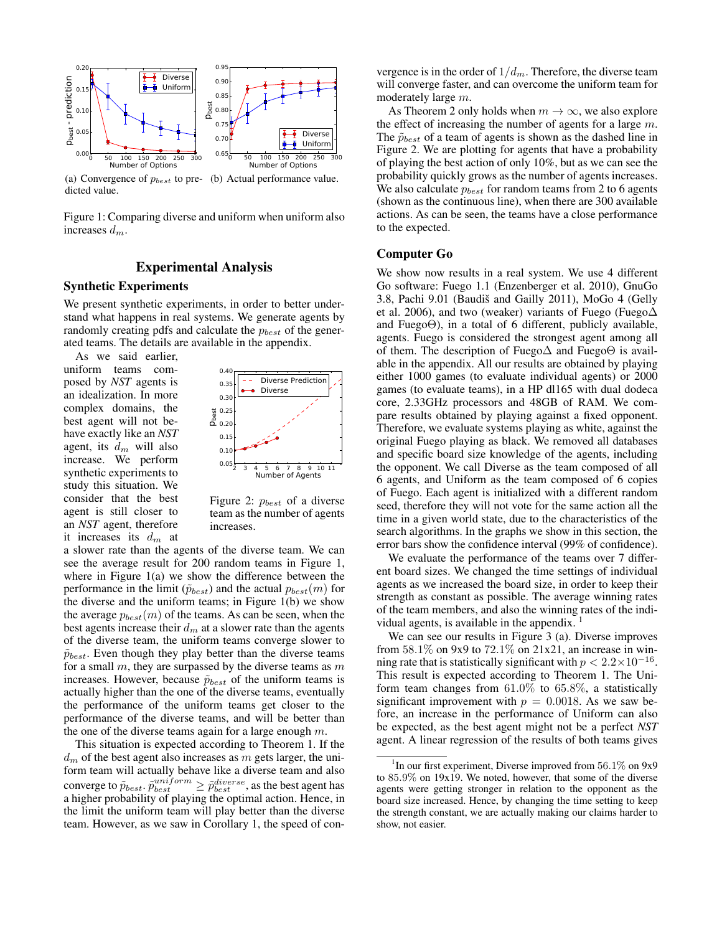

(a) Convergence of  $p_{best}$  to pre- (b) Actual performance value. dicted value.

Figure 1: Comparing diverse and uniform when uniform also increases  $d_m$ .

# Experimental Analysis

### Synthetic Experiments

We present synthetic experiments, in order to better understand what happens in real systems. We generate agents by randomly creating pdfs and calculate the  $p_{best}$  of the generated teams. The details are available in the appendix.

As we said earlier, uniform teams composed by *NST* agents is an idealization. In more complex domains, the best agent will not behave exactly like an *NST* agent, its  $d_m$  will also increase. We perform synthetic experiments to study this situation. We consider that the best agent is still closer to an *NST* agent, therefore it increases its  $d_m$  at



Figure 2:  $p_{best}$  of a diverse team as the number of agents increases.

a slower rate than the agents of the diverse team. We can see the average result for 200 random teams in Figure 1, where in Figure 1(a) we show the difference between the performance in the limit ( $\tilde{p}_{best}$ ) and the actual  $p_{best}(m)$  for the diverse and the uniform teams; in Figure 1(b) we show the average  $p_{best}(m)$  of the teams. As can be seen, when the best agents increase their  $d_m$  at a slower rate than the agents of the diverse team, the uniform teams converge slower to  $\tilde{p}_{best}$ . Even though they play better than the diverse teams for a small  $m$ , they are surpassed by the diverse teams as  $m$ increases. However, because  $\tilde{p}_{best}$  of the uniform teams is actually higher than the one of the diverse teams, eventually the performance of the uniform teams get closer to the performance of the diverse teams, and will be better than the one of the diverse teams again for a large enough  $m$ .

This situation is expected according to Theorem 1. If the  $d_m$  of the best agent also increases as m gets larger, the uniform team will actually behave like a diverse team and also converge to  $\tilde{p}_{best}$ .  $\tilde{p}_{best}^{uniform} \geq \tilde{p}_{best}^{diverse}$ , as the best agent has a higher probability of playing the optimal action. Hence, in the limit the uniform team will play better than the diverse team. However, as we saw in Corollary 1, the speed of con-

vergence is in the order of  $1/d_m$ . Therefore, the diverse team will converge faster, and can overcome the uniform team for moderately large m.

As Theorem 2 only holds when  $m \to \infty$ , we also explore the effect of increasing the number of agents for a large  $m$ . The  $\tilde{p}_{best}$  of a team of agents is shown as the dashed line in Figure 2. We are plotting for agents that have a probability of playing the best action of only 10%, but as we can see the probability quickly grows as the number of agents increases. We also calculate  $p_{best}$  for random teams from 2 to 6 agents (shown as the continuous line), when there are 300 available actions. As can be seen, the teams have a close performance to the expected.

### Computer Go

We show now results in a real system. We use 4 different Go software: Fuego 1.1 (Enzenberger et al. 2010), GnuGo 3.8, Pachi 9.01 (Baudiš and Gailly 2011), MoGo 4 (Gelly et al. 2006), and two (weaker) variants of Fuego (Fuego∆ and FuegoΘ), in a total of 6 different, publicly available, agents. Fuego is considered the strongest agent among all of them. The description of Fuego $\Delta$  and Fuego $\Theta$  is available in the appendix. All our results are obtained by playing either 1000 games (to evaluate individual agents) or 2000 games (to evaluate teams), in a HP dl165 with dual dodeca core, 2.33GHz processors and 48GB of RAM. We compare results obtained by playing against a fixed opponent. Therefore, we evaluate systems playing as white, against the original Fuego playing as black. We removed all databases and specific board size knowledge of the agents, including the opponent. We call Diverse as the team composed of all 6 agents, and Uniform as the team composed of 6 copies of Fuego. Each agent is initialized with a different random seed, therefore they will not vote for the same action all the time in a given world state, due to the characteristics of the search algorithms. In the graphs we show in this section, the error bars show the confidence interval (99% of confidence).

We evaluate the performance of the teams over 7 different board sizes. We changed the time settings of individual agents as we increased the board size, in order to keep their strength as constant as possible. The average winning rates of the team members, and also the winning rates of the individual agents, is available in the appendix.

We can see our results in Figure 3 (a). Diverse improves from  $58.1\%$  on 9x9 to  $72.1\%$  on  $21x21$ , an increase in winning rate that is statistically significant with  $p < 2.2 \times 10^{-16}$ . This result is expected according to Theorem 1. The Uniform team changes from 61.0% to 65.8%, a statistically significant improvement with  $p = 0.0018$ . As we saw before, an increase in the performance of Uniform can also be expected, as the best agent might not be a perfect *NST* agent. A linear regression of the results of both teams gives

<sup>&</sup>lt;sup>1</sup>In our first experiment, Diverse improved from 56.1% on 9x9 to 85.9% on 19x19. We noted, however, that some of the diverse agents were getting stronger in relation to the opponent as the board size increased. Hence, by changing the time setting to keep the strength constant, we are actually making our claims harder to show, not easier.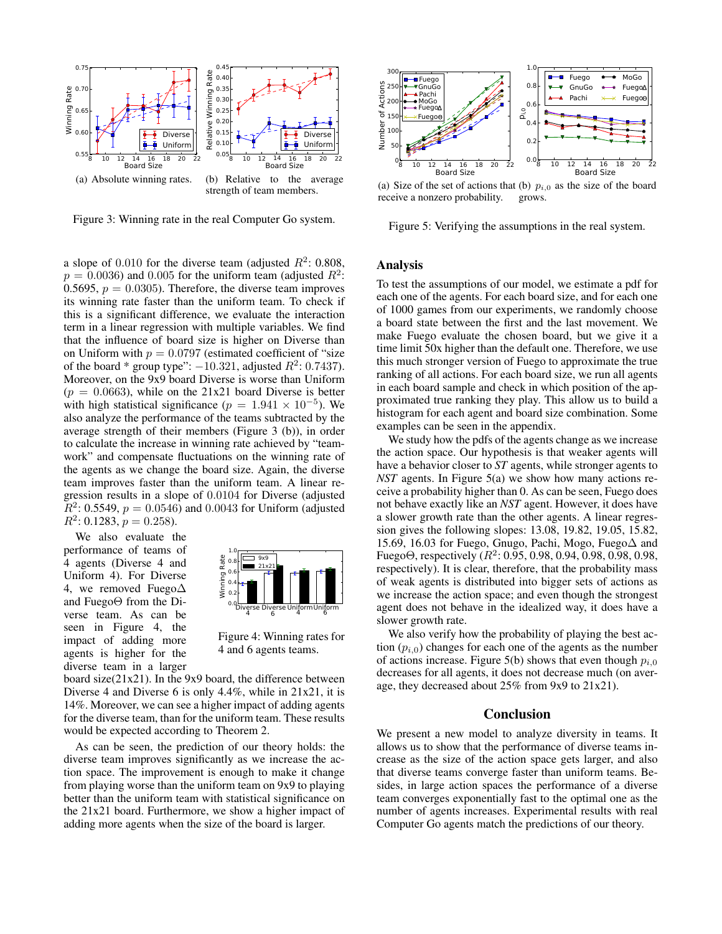

Figure 3: Winning rate in the real Computer Go system.

a slope of 0.010 for the diverse team (adjusted  $R^2$ : 0.808,  $p = 0.0036$ ) and 0.005 for the uniform team (adjusted  $R^2$ : 0.5695,  $p = 0.0305$ . Therefore, the diverse team improves its winning rate faster than the uniform team. To check if this is a significant difference, we evaluate the interaction term in a linear regression with multiple variables. We find that the influence of board size is higher on Diverse than on Uniform with  $p = 0.0797$  (estimated coefficient of "size") of the board \* group type":  $-10.321$ , adjusted  $R^2$ : 0.7437). Moreover, on the 9x9 board Diverse is worse than Uniform  $(p = 0.0663)$ , while on the 21x21 board Diverse is better with high statistical significance ( $p = 1.941 \times 10^{-5}$ ). We also analyze the performance of the teams subtracted by the average strength of their members (Figure 3 (b)), in order to calculate the increase in winning rate achieved by "teamwork" and compensate fluctuations on the winning rate of the agents as we change the board size. Again, the diverse team improves faster than the uniform team. A linear regression results in a slope of 0.0104 for Diverse (adjusted  $\overline{R}^2$ : 0.5549,  $p = 0.0546$ ) and 0.0043 for Uniform (adjusted  $R^2$ : 0.1283,  $p = 0.258$ ).

We also evaluate the performance of teams of 4 agents (Diverse 4 and Uniform 4). For Diverse 4, we removed Fuego∆ and FuegoΘ from the Diverse team. As can be seen in Figure 4, the impact of adding more agents is higher for the diverse team in a larger



Figure 4: Winning rates for 4 and 6 agents teams.

board size(21x21). In the 9x9 board, the difference between Diverse 4 and Diverse 6 is only 4.4%, while in 21x21, it is 14%. Moreover, we can see a higher impact of adding agents for the diverse team, than for the uniform team. These results would be expected according to Theorem 2.

As can be seen, the prediction of our theory holds: the diverse team improves significantly as we increase the action space. The improvement is enough to make it change from playing worse than the uniform team on 9x9 to playing better than the uniform team with statistical significance on the 21x21 board. Furthermore, we show a higher impact of adding more agents when the size of the board is larger.



(a) Size of the set of actions that (b)  $p_{i,0}$  as the size of the board receive a nonzero probability. grows.

Figure 5: Verifying the assumptions in the real system.

### Analysis

To test the assumptions of our model, we estimate a pdf for each one of the agents. For each board size, and for each one of 1000 games from our experiments, we randomly choose a board state between the first and the last movement. We make Fuego evaluate the chosen board, but we give it a time limit 50x higher than the default one. Therefore, we use this much stronger version of Fuego to approximate the true ranking of all actions. For each board size, we run all agents in each board sample and check in which position of the approximated true ranking they play. This allow us to build a histogram for each agent and board size combination. Some examples can be seen in the appendix.

We study how the pdfs of the agents change as we increase the action space. Our hypothesis is that weaker agents will have a behavior closer to *ST* agents, while stronger agents to *NST* agents. In Figure 5(a) we show how many actions receive a probability higher than 0. As can be seen, Fuego does not behave exactly like an *NST* agent. However, it does have a slower growth rate than the other agents. A linear regression gives the following slopes: 13.08, 19.82, 19.05, 15.82, 15.69, 16.03 for Fuego, Gnugo, Pachi, Mogo, Fuego∆ and Fuego $\Theta$ , respectively  $(R^2: 0.95, 0.98, 0.94, 0.98, 0.98, 0.98,$ respectively). It is clear, therefore, that the probability mass of weak agents is distributed into bigger sets of actions as we increase the action space; and even though the strongest agent does not behave in the idealized way, it does have a slower growth rate.

We also verify how the probability of playing the best action  $(p_{i,0})$  changes for each one of the agents as the number of actions increase. Figure 5(b) shows that even though  $p_{i,0}$ decreases for all agents, it does not decrease much (on average, they decreased about 25% from 9x9 to 21x21).

#### Conclusion

We present a new model to analyze diversity in teams. It allows us to show that the performance of diverse teams increase as the size of the action space gets larger, and also that diverse teams converge faster than uniform teams. Besides, in large action spaces the performance of a diverse team converges exponentially fast to the optimal one as the number of agents increases. Experimental results with real Computer Go agents match the predictions of our theory.